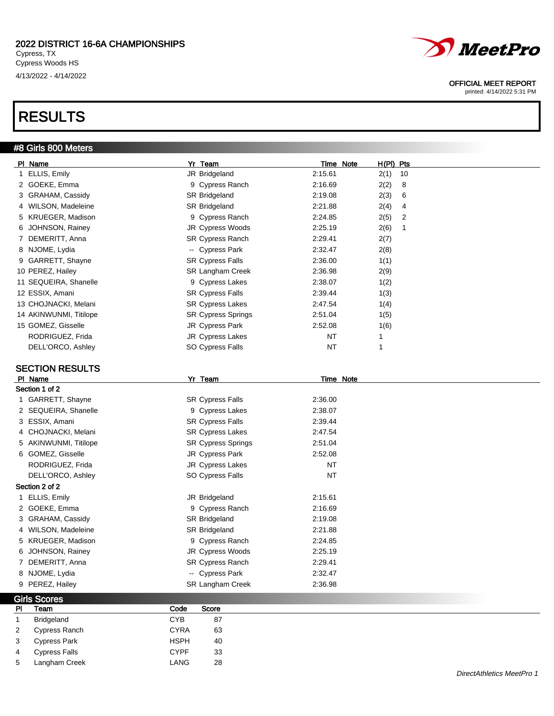# RESULTS

## #8 Girls 800 Meters



### OFFICIAL MEET REPORT

printed: 4/14/2022 5:31 PM

| PI Name                | Yr Team                   | Time Note | $H(PI)$ Pts |    |
|------------------------|---------------------------|-----------|-------------|----|
| 1 ELLIS, Emily         | JR Bridgeland             | 2:15.61   | 2(1)        | 10 |
| 2 GOEKE, Emma          | 9 Cypress Ranch           | 2:16.69   | 2(2)        | 8  |
| 3 GRAHAM, Cassidy      | <b>SR Bridgeland</b>      | 2:19.08   | 2(3)        | 6  |
| 4 WILSON, Madeleine    | SR Bridgeland             | 2:21.88   | 2(4)        | 4  |
| 5 KRUEGER, Madison     | 9 Cypress Ranch           | 2:24.85   | 2(5)        | 2  |
| 6 JOHNSON, Rainey      | JR Cypress Woods          | 2:25.19   | 2(6)        |    |
| 7 DEMERITT, Anna       | <b>SR Cypress Ranch</b>   | 2:29.41   | 2(7)        |    |
| 8 NJOME, Lydia         | -- Cypress Park           | 2:32.47   | 2(8)        |    |
| 9 GARRETT, Shayne      | <b>SR Cypress Falls</b>   | 2:36.00   | 1(1)        |    |
| 10 PEREZ, Hailey       | <b>SR Langham Creek</b>   | 2:36.98   | 2(9)        |    |
| 11 SEQUEIRA, Shanelle  | 9 Cypress Lakes           | 2:38.07   | 1(2)        |    |
| 12 ESSIX, Amani        | <b>SR Cypress Falls</b>   | 2:39.44   | 1(3)        |    |
| 13 CHOJNACKI, Melani   | <b>SR Cypress Lakes</b>   | 2:47.54   | 1(4)        |    |
| 14 AKINWUNMI, Titilope | <b>SR Cypress Springs</b> | 2:51.04   | 1(5)        |    |
| 15 GOMEZ, Gisselle     | JR Cypress Park           | 2:52.08   | 1(6)        |    |
| RODRIGUEZ, Frida       | JR Cypress Lakes          | NT        |             |    |
| DELL'ORCO, Ashley      | SO Cypress Falls          | <b>NT</b> |             |    |

### SECTION RESULTS

| PI Name               | Yr Team                   | Time Note |  |
|-----------------------|---------------------------|-----------|--|
| Section 1 of 2        |                           |           |  |
| 1 GARRETT, Shayne     | <b>SR Cypress Falls</b>   | 2:36.00   |  |
| 2 SEQUEIRA, Shanelle  | 9 Cypress Lakes           | 2:38.07   |  |
| 3 ESSIX, Amani        | <b>SR Cypress Falls</b>   | 2:39.44   |  |
| 4 CHOJNACKI, Melani   | <b>SR Cypress Lakes</b>   | 2:47.54   |  |
| 5 AKINWUNMI, Titilope | <b>SR Cypress Springs</b> | 2:51.04   |  |
| 6 GOMEZ, Gisselle     | JR Cypress Park           | 2:52.08   |  |
| RODRIGUEZ, Frida      | JR Cypress Lakes          | <b>NT</b> |  |
| DELL'ORCO, Ashley     | SO Cypress Falls          | <b>NT</b> |  |
| Section 2 of 2        |                           |           |  |
| 1 ELLIS, Emily        | JR Bridgeland             | 2:15.61   |  |
| 2 GOEKE, Emma         | 9 Cypress Ranch           | 2:16.69   |  |
| 3 GRAHAM, Cassidy     | SR Bridgeland             | 2:19.08   |  |
| 4 WILSON, Madeleine   | SR Bridgeland             | 2:21.88   |  |
| 5 KRUEGER, Madison    | 9 Cypress Ranch           | 2:24.85   |  |
| 6 JOHNSON, Rainey     | JR Cypress Woods          | 2:25.19   |  |
| 7 DEMERITT, Anna      | <b>SR Cypress Ranch</b>   | 2:29.41   |  |
| 8 NJOME, Lydia        | -- Cypress Park           | 2:32.47   |  |
| 9 PEREZ, Hailey       | <b>SR Langham Creek</b>   | 2:36.98   |  |
|                       |                           |           |  |

|                | <b>Girls Scores</b>  |             |       |
|----------------|----------------------|-------------|-------|
| PI             | Team                 | Code        | Score |
| $\mathbf{1}$   | Bridgeland           | <b>CYB</b>  | 87    |
| $\overline{2}$ | Cypress Ranch        | <b>CYRA</b> | 63    |
| 3              | <b>Cypress Park</b>  | <b>HSPH</b> | 40    |
| 4              | <b>Cypress Falls</b> | <b>CYPF</b> | 33    |
| 5              | Langham Creek        | LANG        | 28    |